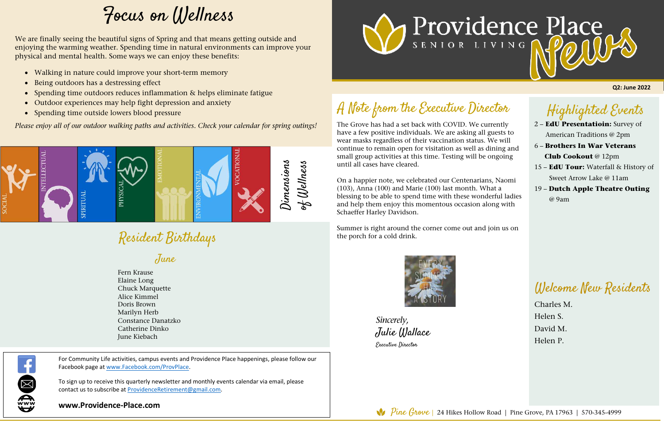## Highlighted Events

2 – **EdU Presentatioin:** Survey of American Traditions @ 2pm

The Grove has had a set back with COVID. We currently have a few positive individuals. We are asking all guests to wear masks regardless of their vaccination status. We will continue to remain open for visitation as well as dining and small group activities at this time. Testing will be ongoing until all cases have cleared. 1

- 6 **Brothers In War Veterans Club Cookout** @ 12pm
- 15 – **EdU Tour:** Waterfall & History of Sweet Arrow Lake @ 11am
- 19 **Dutch Apple Theatre Outing** @ 9am

# Resident Birthdays

## A Note from the Executive Director

On a happier note, we celebrated our Centenarians, Naomi (103), Anna (100) and Marie (100) last month. What a blessing to be able to spend time with these wonderful ladies and help them enjoy this momentous occasion along with Schaeffer Harley Davidson.

Summer is right around the corner come out and join us on the porch for a cold drink.



*Sincerely,*  Julie Wallace Executive Director

**Q2: June 2022**

For Community Life activities, campus events and Providence Place happenings, please follow our Facebook page at www.Facebook.com/ProvPlace.

To sign up to receive this quarterly newsletter and monthly events calendar via email, please contact us to subscribe at ProvidenceRetirement@gmail.com.

**www.Providence-Place.com**





### Welcome New Residents

Charles M. Helen S. David M. Helen P.

# Focus on Wellness

June

Fern Krause Elaine Long Chuck Marquette Alice Kimmel Doris Brown Marilyn Herb Constance Danatzko Catherine Dinko June Kiebach



We are finally seeing the beautiful signs of Spring and that means getting outside and enjoying the warming weather. Spending time in natural environments can improve your physical and mental health. Some ways we can enjoy these benefits:

- Walking in nature could improve your short-term memory
- Being outdoors has a destressing effect
- Spending time outdoors reduces inflammation & helps eliminate fatigue
- Outdoor experiences may help fight depression and anxiety
- Spending time outside lowers blood pressure

*Please enjoy all of our outdoor walking paths and activities. Check your calendar for spring outings!*